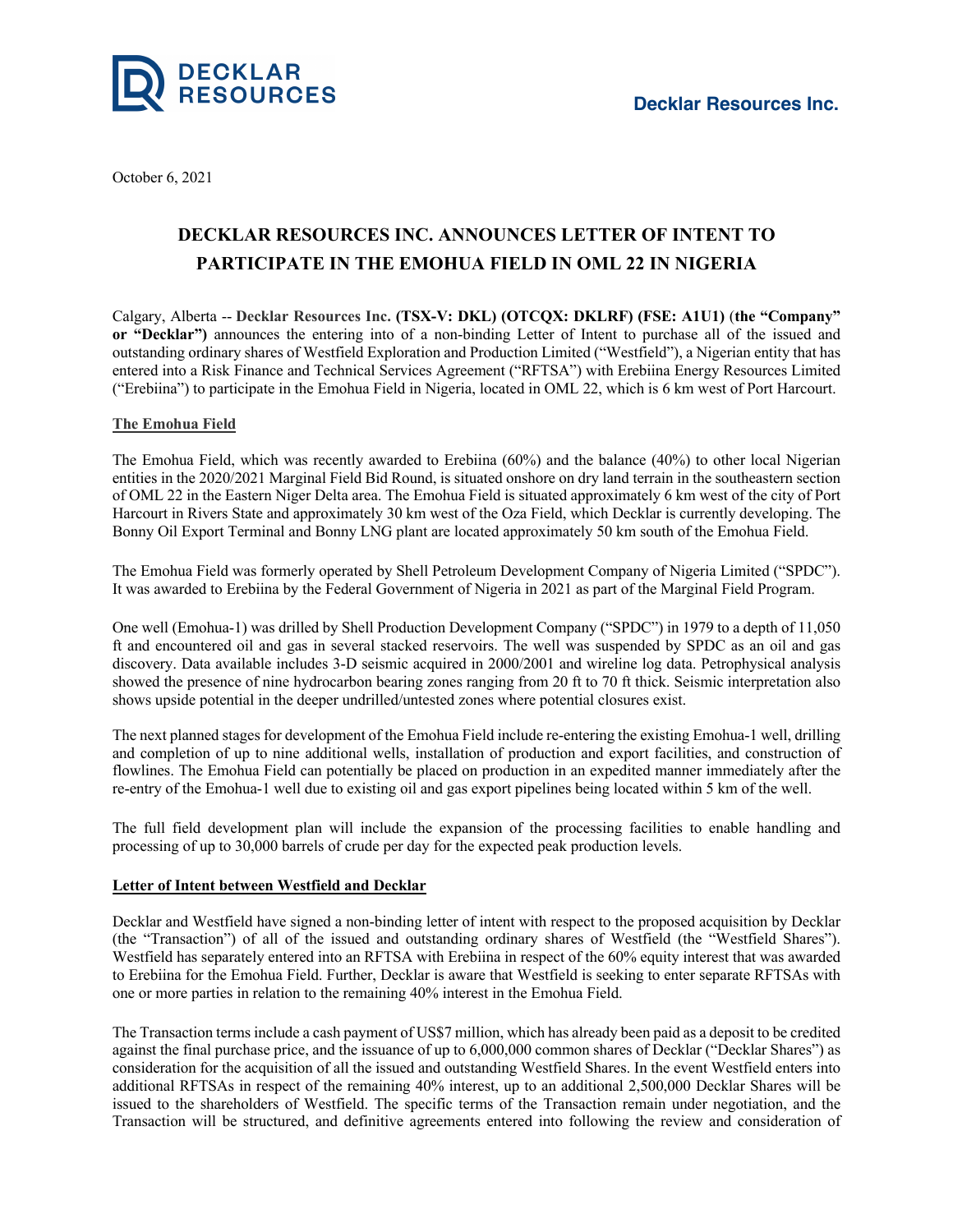

October 6, 2021

# **DECKLAR RESOURCES INC. ANNOUNCES LETTER OF INTENT TO PARTICIPATE IN THE EMOHUA FIELD IN OML 22 IN NIGERIA**

Calgary, Alberta -- **Decklar Resources Inc. (TSX-V: DKL) (OTCQX: DKLRF) (FSE: A1U1)** (**the "Company" or "Decklar")** announces the entering into of a non-binding Letter of Intent to purchase all of the issued and outstanding ordinary shares of Westfield Exploration and Production Limited ("Westfield"), a Nigerian entity that has entered into a Risk Finance and Technical Services Agreement ("RFTSA") with Erebiina Energy Resources Limited ("Erebiina") to participate in the Emohua Field in Nigeria, located in OML 22, which is 6 km west of Port Harcourt.

## **The Emohua Field**

The Emohua Field, which was recently awarded to Erebiina (60%) and the balance (40%) to other local Nigerian entities in the 2020/2021 Marginal Field Bid Round, is situated onshore on dry land terrain in the southeastern section of OML 22 in the Eastern Niger Delta area. The Emohua Field is situated approximately 6 km west of the city of Port Harcourt in Rivers State and approximately 30 km west of the Oza Field, which Decklar is currently developing. The Bonny Oil Export Terminal and Bonny LNG plant are located approximately 50 km south of the Emohua Field.

The Emohua Field was formerly operated by Shell Petroleum Development Company of Nigeria Limited ("SPDC"). It was awarded to Erebiina by the Federal Government of Nigeria in 2021 as part of the Marginal Field Program.

One well (Emohua-1) was drilled by Shell Production Development Company ("SPDC") in 1979 to a depth of 11,050 ft and encountered oil and gas in several stacked reservoirs. The well was suspended by SPDC as an oil and gas discovery. Data available includes 3-D seismic acquired in 2000/2001 and wireline log data. Petrophysical analysis showed the presence of nine hydrocarbon bearing zones ranging from 20 ft to 70 ft thick. Seismic interpretation also shows upside potential in the deeper undrilled/untested zones where potential closures exist.

The next planned stages for development of the Emohua Field include re-entering the existing Emohua-1 well, drilling and completion of up to nine additional wells, installation of production and export facilities, and construction of flowlines. The Emohua Field can potentially be placed on production in an expedited manner immediately after the re-entry of the Emohua-1 well due to existing oil and gas export pipelines being located within 5 km of the well.

The full field development plan will include the expansion of the processing facilities to enable handling and processing of up to 30,000 barrels of crude per day for the expected peak production levels.

## **Letter of Intent between Westfield and Decklar**

Decklar and Westfield have signed a non-binding letter of intent with respect to the proposed acquisition by Decklar (the "Transaction") of all of the issued and outstanding ordinary shares of Westfield (the "Westfield Shares"). Westfield has separately entered into an RFTSA with Erebiina in respect of the 60% equity interest that was awarded to Erebiina for the Emohua Field. Further, Decklar is aware that Westfield is seeking to enter separate RFTSAs with one or more parties in relation to the remaining 40% interest in the Emohua Field.

The Transaction terms include a cash payment of US\$7 million, which has already been paid as a deposit to be credited against the final purchase price, and the issuance of up to 6,000,000 common shares of Decklar ("Decklar Shares") as consideration for the acquisition of all the issued and outstanding Westfield Shares. In the event Westfield enters into additional RFTSAs in respect of the remaining 40% interest, up to an additional 2,500,000 Decklar Shares will be issued to the shareholders of Westfield. The specific terms of the Transaction remain under negotiation, and the Transaction will be structured, and definitive agreements entered into following the review and consideration of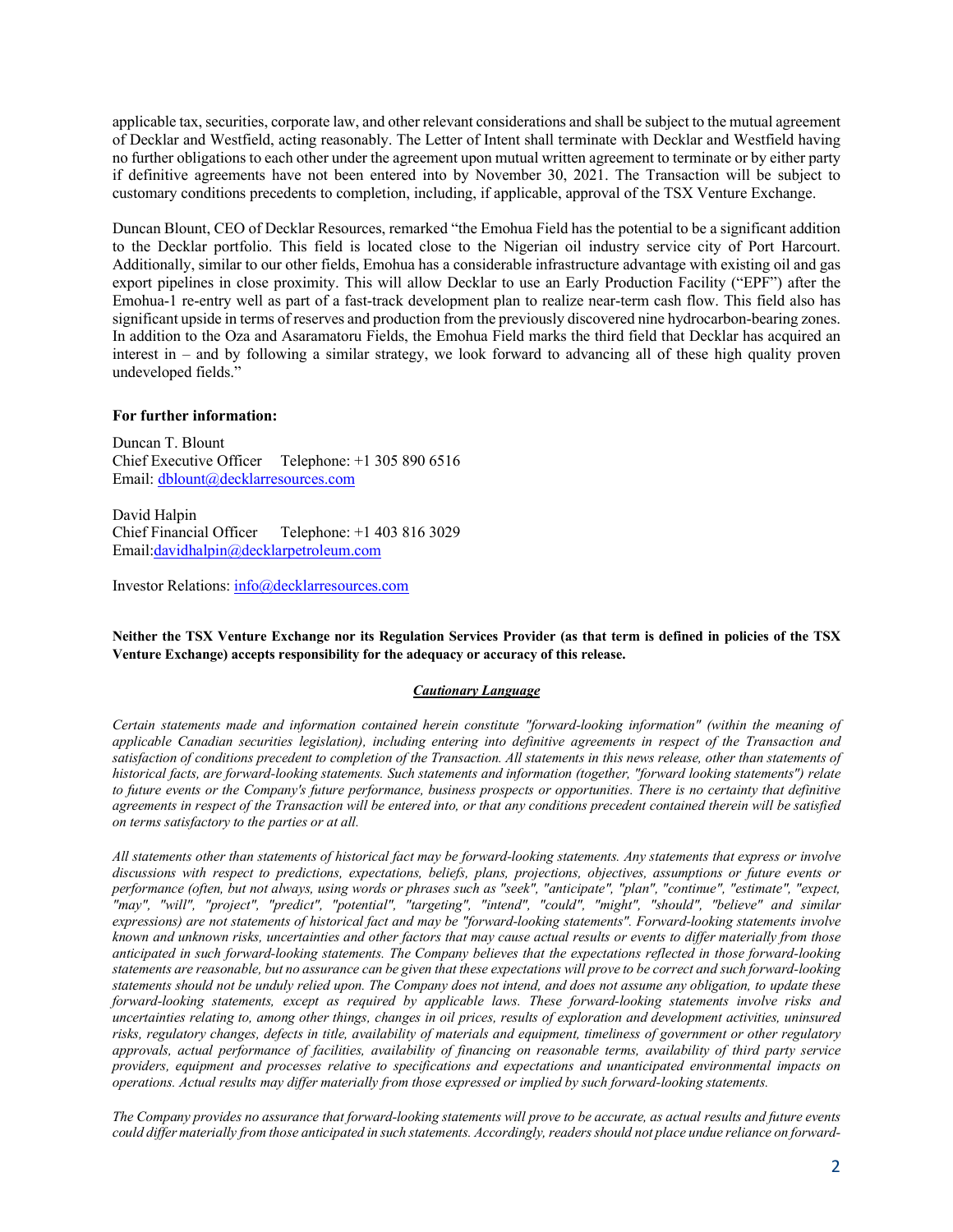applicable tax, securities, corporate law, and other relevant considerations and shall be subject to the mutual agreement of Decklar and Westfield, acting reasonably. The Letter of Intent shall terminate with Decklar and Westfield having no further obligations to each other under the agreement upon mutual written agreement to terminate or by either party if definitive agreements have not been entered into by November 30, 2021. The Transaction will be subject to customary conditions precedents to completion, including, if applicable, approval of the TSX Venture Exchange.

Duncan Blount, CEO of Decklar Resources, remarked "the Emohua Field has the potential to be a significant addition to the Decklar portfolio. This field is located close to the Nigerian oil industry service city of Port Harcourt. Additionally, similar to our other fields, Emohua has a considerable infrastructure advantage with existing oil and gas export pipelines in close proximity. This will allow Decklar to use an Early Production Facility ("EPF") after the Emohua-1 re-entry well as part of a fast-track development plan to realize near-term cash flow. This field also has significant upside in terms of reserves and production from the previously discovered nine hydrocarbon-bearing zones. In addition to the Oza and Asaramatoru Fields, the Emohua Field marks the third field that Decklar has acquired an interest in – and by following a similar strategy, we look forward to advancing all of these high quality proven undeveloped fields."

#### **For further information:**

Duncan T. Blount Chief Executive Officer Telephone: +1 305 890 6516 Email: dblount@decklarresources.com

David Halpin Chief Financial Officer Telephone: +1 403 816 3029 Email:davidhalpin@decklarpetroleum.com

Investor Relations: info@decklarresources.com

Neither the TSX Venture Exchange nor its Regulation Services Provider (as that term is defined in policies of the TSX **Venture Exchange) accepts responsibility for the adequacy or accuracy of this release.**

### *Cautionary Language*

*Certain statements made and information contained herein constitute "forward-looking information" (within the meaning of* applicable Canadian securities legislation), including entering into definitive agreements in respect of the Transaction and satisfaction of conditions precedent to completion of the Transaction. All statements in this news release, other than statements of historical facts, are forward-looking statements. Such statements and information (together, "forward looking statements") relate to future events or the Company's future performance, business prospects or opportunities. There is no certainty that definitive agreements in respect of the Transaction will be entered into, or that any conditions precedent contained therein will be satisfied *on terms satisfactory to the parties or at all.*

All statements other than statements of historical fact may be forward-looking statements. Any statements that express or involve discussions with respect to predictions, expectations, beliefs, plans, projections, objectives, assumptions or future events or performance (often, but not always, using words or phrases such as "seek", "anticipate", "plan", "continue", "estimate", "expect, *"may", "will", "project", "predict", "potential", "targeting", "intend", "could", "might", "should", "believe" and similar* expressions) are not statements of historical fact and may be "forward-looking statements". Forward-looking statements involve known and unknown risks, uncertainties and other factors that may cause actual results or events to differ materially from those anticipated in such forward-looking statements. The Company believes that the expectations reflected in those forward-looking statements are reasonable, but no assurance can be given that these expectations will prove to be correct and such forward-looking statements should not be unduly relied upon. The Company does not intend, and does not assume any obligation, to update these *forward-looking statements, except as required by applicable laws. These forward-looking statements involve risks and* uncertainties relating to, among other things, changes in oil prices, results of exploration and development activities, uninsured risks, regulatory changes, defects in title, availability of materials and equipment, timeliness of government or other regulatory approvals, actual performance of facilities, availability of financing on reasonable terms, availability of third party service *providers, equipment and processes relative to specifications and expectations and unanticipated environmental impacts on operations. Actual results may differ materially from those expressed or implied by such forward-looking statements.*

The Company provides no assurance that forward-looking statements will prove to be accurate, as actual results and future events could differ materially from those anticipated in such statements. Accordingly, readers should not place undue reliance on forward